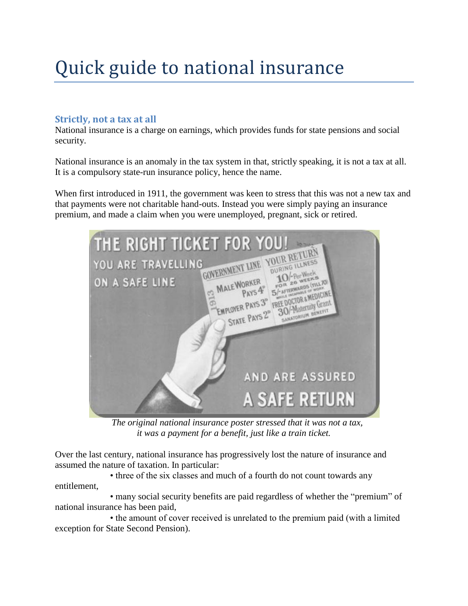# Quick guide to national insurance

# **Strictly, not a tax at all**

National insurance is a charge on earnings, which provides funds for state pensions and social security.

National insurance is an anomaly in the tax system in that, strictly speaking, it is not a tax at all. It is a compulsory state-run insurance policy, hence the name.

When first introduced in 1911, the government was keen to stress that this was not a new tax and that payments were not charitable hand-outs. Instead you were simply paying an insurance premium, and made a claim when you were unemployed, pregnant, sick or retired.



 *The original national insurance poster stressed that it was not a tax, it was a payment for a benefit, just like a train ticket.*

Over the last century, national insurance has progressively lost the nature of insurance and assumed the nature of taxation. In particular:

• three of the six classes and much of a fourth do not count towards any entitlement,

• many social security benefits are paid regardless of whether the "premium" of national insurance has been paid,

• the amount of cover received is unrelated to the premium paid (with a limited exception for State Second Pension).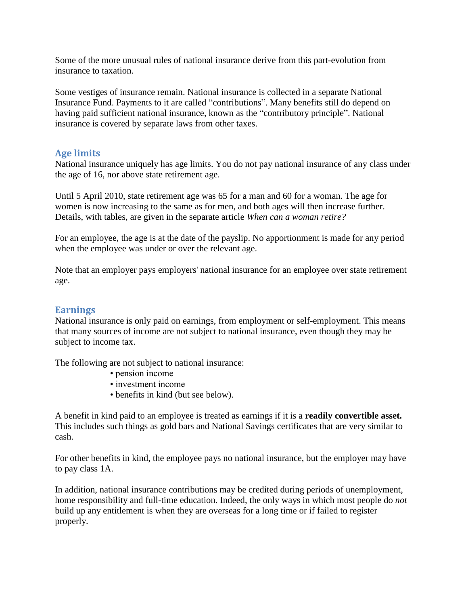Some of the more unusual rules of national insurance derive from this part-evolution from insurance to taxation.

Some vestiges of insurance remain. National insurance is collected in a separate National Insurance Fund. Payments to it are called "contributions". Many benefits still do depend on having paid sufficient national insurance, known as the "contributory principle". National insurance is covered by separate laws from other taxes.

## **Age limits**

National insurance uniquely has age limits. You do not pay national insurance of any class under the age of 16, nor above state retirement age.

Until 5 April 2010, state retirement age was 65 for a man and 60 for a woman. The age for women is now increasing to the same as for men, and both ages will then increase further. Details, with tables, are given in the separate article *When can a woman retire?*

For an employee, the age is at the date of the payslip. No apportionment is made for any period when the employee was under or over the relevant age.

Note that an employer pays employers' national insurance for an employee over state retirement age.

#### **Earnings**

National insurance is only paid on earnings, from employment or self-employment. This means that many sources of income are not subject to national insurance, even though they may be subject to income tax.

The following are not subject to national insurance:

- pension income
- investment income
- benefits in kind (but see below).

A benefit in kind paid to an employee is treated as earnings if it is a **readily convertible asset.**  This includes such things as gold bars and National Savings certificates that are very similar to cash.

For other benefits in kind, the employee pays no national insurance, but the employer may have to pay class 1A.

In addition, national insurance contributions may be credited during periods of unemployment, home responsibility and full-time education. Indeed, the only ways in which most people do *not*  build up any entitlement is when they are overseas for a long time or if failed to register properly.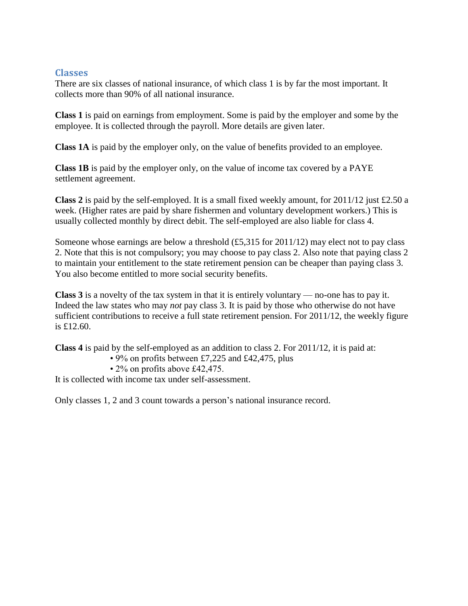### **Classes**

There are six classes of national insurance, of which class 1 is by far the most important. It collects more than 90% of all national insurance.

**Class 1** is paid on earnings from employment. Some is paid by the employer and some by the employee. It is collected through the payroll. More details are given later.

**Class 1A** is paid by the employer only, on the value of benefits provided to an employee.

**Class 1B** is paid by the employer only, on the value of income tax covered by a PAYE settlement agreement.

**Class 2** is paid by the self-employed. It is a small fixed weekly amount, for  $2011/12$  just £2.50 a week. (Higher rates are paid by share fishermen and voluntary development workers.) This is usually collected monthly by direct debit. The self-employed are also liable for class 4.

Someone whose earnings are below a threshold  $(\text{\pounds}5,315$  for 2011/12) may elect not to pay class 2. Note that this is not compulsory; you may choose to pay class 2. Also note that paying class 2 to maintain your entitlement to the state retirement pension can be cheaper than paying class 3. You also become entitled to more social security benefits.

**Class 3** is a novelty of the tax system in that it is entirely voluntary — no-one has to pay it. Indeed the law states who may *not* pay class 3. It is paid by those who otherwise do not have sufficient contributions to receive a full state retirement pension. For 2011/12, the weekly figure is £12.60.

**Class 4** is paid by the self-employed as an addition to class 2. For 2011/12, it is paid at:

- 9% on profits between £7,225 and £42,475, plus
- 2% on profits above £42,475.

It is collected with income tax under self-assessment.

Only classes 1, 2 and 3 count towards a person's national insurance record.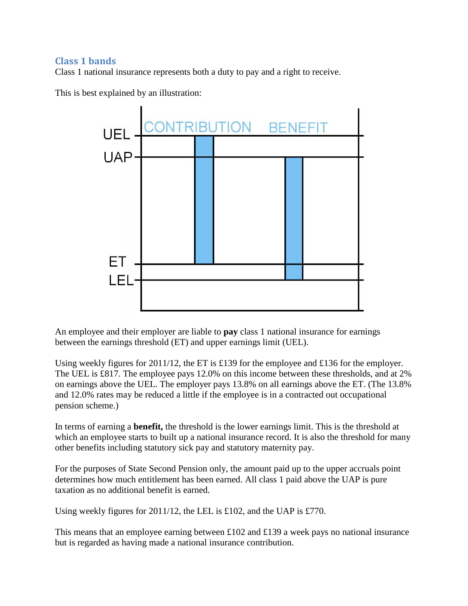# **Class 1 bands**

Class 1 national insurance represents both a duty to pay and a right to receive.

This is best explained by an illustration:



An employee and their employer are liable to **pay** class 1 national insurance for earnings between the earnings threshold (ET) and upper earnings limit (UEL).

Using weekly figures for 2011/12, the ET is £139 for the employee and £136 for the employer. The UEL is £817. The employee pays 12.0% on this income between these thresholds, and at 2% on earnings above the UEL. The employer pays 13.8% on all earnings above the ET. (The 13.8% and 12.0% rates may be reduced a little if the employee is in a contracted out occupational pension scheme.)

In terms of earning a **benefit,** the threshold is the lower earnings limit. This is the threshold at which an employee starts to built up a national insurance record. It is also the threshold for many other benefits including statutory sick pay and statutory maternity pay.

For the purposes of State Second Pension only, the amount paid up to the upper accruals point determines how much entitlement has been earned. All class 1 paid above the UAP is pure taxation as no additional benefit is earned.

Using weekly figures for 2011/12, the LEL is £102, and the UAP is £770.

This means that an employee earning between £102 and £139 a week pays no national insurance but is regarded as having made a national insurance contribution.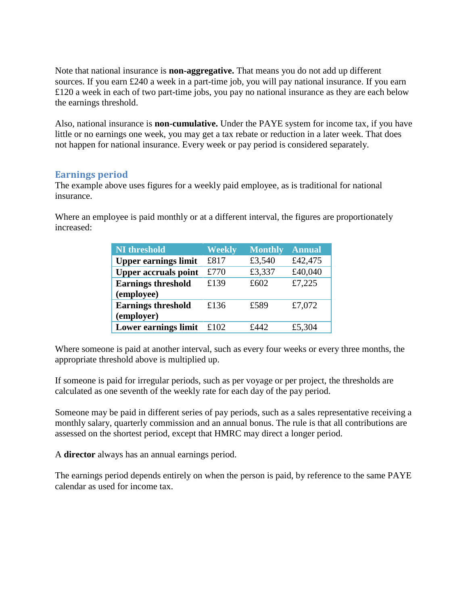Note that national insurance is **non-aggregative.** That means you do not add up different sources. If you earn £240 a week in a part-time job, you will pay national insurance. If you earn £120 a week in each of two part-time jobs, you pay no national insurance as they are each below the earnings threshold.

Also, national insurance is **non-cumulative.** Under the PAYE system for income tax, if you have little or no earnings one week, you may get a tax rebate or reduction in a later week. That does not happen for national insurance. Every week or pay period is considered separately.

## **Earnings period**

The example above uses figures for a weekly paid employee, as is traditional for national insurance.

Where an employee is paid monthly or at a different interval, the figures are proportionately increased:

| <b>NI</b> threshold         | Weekly | <b>Monthly</b> | <b>Annual</b> |
|-----------------------------|--------|----------------|---------------|
| <b>Upper earnings limit</b> | £817   | £3,540         | £42,475       |
| <b>Upper accruals point</b> | £770   | £3,337         | £40,040       |
| <b>Earnings threshold</b>   | £139   | £602           | £7,225        |
| (employee)                  |        |                |               |
| <b>Earnings threshold</b>   | £136   | £589           | £7,072        |
| (employer)                  |        |                |               |
| <b>Lower earnings limit</b> | f.102  | f442           | £5,304        |

Where someone is paid at another interval, such as every four weeks or every three months, the appropriate threshold above is multiplied up.

If someone is paid for irregular periods, such as per voyage or per project, the thresholds are calculated as one seventh of the weekly rate for each day of the pay period.

Someone may be paid in different series of pay periods, such as a sales representative receiving a monthly salary, quarterly commission and an annual bonus. The rule is that all contributions are assessed on the shortest period, except that HMRC may direct a longer period.

A **director** always has an annual earnings period.

The earnings period depends entirely on when the person is paid, by reference to the same PAYE calendar as used for income tax.